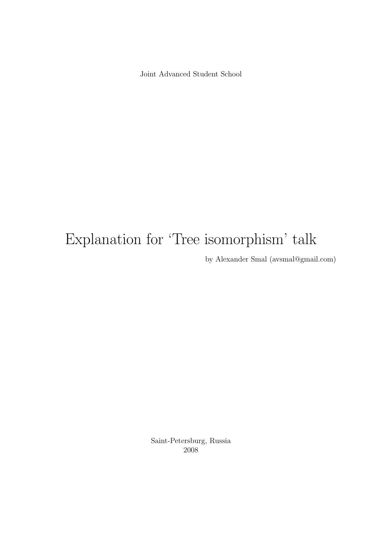Joint Advanced Student School

# Explanation for 'Tree isomorphism' talk

by Alexander Smal (avsmal@gmail.com)

Saint-Petersburg, Russia 2008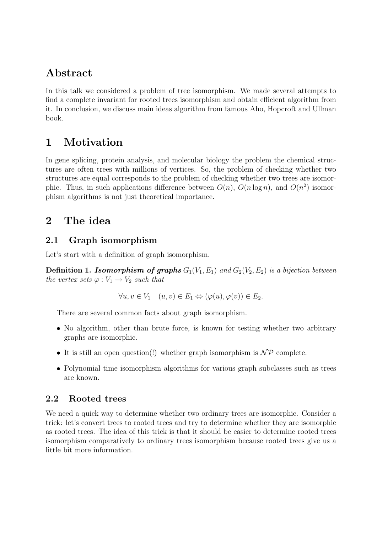# Abstract

In this talk we considered a problem of tree isomorphism. We made several attempts to find a complete invariant for rooted trees isomorphism and obtain efficient algorithm from it. In conclusion, we discuss main ideas algorithm from famous Aho, Hopcroft and Ullman book.

# 1 Motivation

In gene splicing, protein analysis, and molecular biology the problem the chemical structures are often trees with millions of vertices. So, the problem of checking whether two structures are equal corresponds to the problem of checking whether two trees are isomorphic. Thus, in such applications difference between  $O(n)$ ,  $O(n \log n)$ , and  $O(n^2)$  isomorphism algorithms is not just theoretical importance.

# 2 The idea

## 2.1 Graph isomorphism

Let's start with a definition of graph isomorphism.

**Definition 1. Isomorphism of graphs**  $G_1(V_1, E_1)$  and  $G_2(V_2, E_2)$  is a bijection between the vertex sets  $\varphi: V_1 \to V_2$  such that

$$
\forall u, v \in V_1 \quad (u, v) \in E_1 \Leftrightarrow (\varphi(u), \varphi(v)) \in E_2.
$$

There are several common facts about graph isomorphism.

- No algorithm, other than brute force, is known for testing whether two arbitrary graphs are isomorphic.
- It is still an open question(!) whether graph isomorphism is  $\mathcal{NP}$  complete.
- Polynomial time isomorphism algorithms for various graph subclasses such as trees are known.

## 2.2 Rooted trees

We need a quick way to determine whether two ordinary trees are isomorphic. Consider a trick: let's convert trees to rooted trees and try to determine whether they are isomorphic as rooted trees. The idea of this trick is that it should be easier to determine rooted trees isomorphism comparatively to ordinary trees isomorphism because rooted trees give us a little bit more information.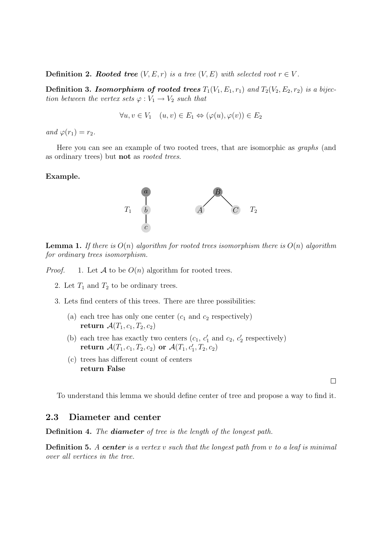**Definition 2. Rooted tree**  $(V, E, r)$  is a tree  $(V, E)$  with selected root  $r \in V$ .

**Definition 3. Isomorphism of rooted trees**  $T_1(V_1, E_1, r_1)$  and  $T_2(V_2, E_2, r_2)$  is a bijection between the vertex sets  $\varphi: V_1 \to V_2$  such that

$$
\forall u, v \in V_1 \quad (u, v) \in E_1 \Leftrightarrow (\varphi(u), \varphi(v)) \in E_2
$$

and  $\varphi(r_1) = r_2$ .

Here you can see an example of two rooted trees, that are isomorphic as graphs (and as ordinary trees) but not as rooted trees.

#### Example.



**Lemma 1.** If there is  $O(n)$  algorithm for rooted trees isomorphism there is  $O(n)$  algorithm for ordinary trees isomorphism.

*Proof.* 1. Let A to be  $O(n)$  algorithm for rooted trees.

- 2. Let  $T_1$  and  $T_2$  to be ordinary trees.
- 3. Lets find centers of this trees. There are three possibilities:
	- (a) each tree has only one center  $(c_1 \text{ and } c_2 \text{ respectively})$ return  $\mathcal{A}(T_1, c_1, T_2, c_2)$
	- (b) each tree has exactly two centers  $(c_1, c'_1 \text{ and } c_2, c'_2 \text{ respectively})$ return  $\mathcal{A}(T_1, c_1, T_2, c_2)$  or  $\mathcal{A}(T_1, c_1', T_2, c_2)$
	- (c) trees has different count of centers return False

 $\Box$ 

To understand this lemma we should define center of tree and propose a way to find it.

#### 2.3 Diameter and center

Definition 4. The **diameter** of tree is the length of the longest path.

**Definition 5.** A center is a vertex v such that the longest path from v to a leaf is minimal over all vertices in the tree.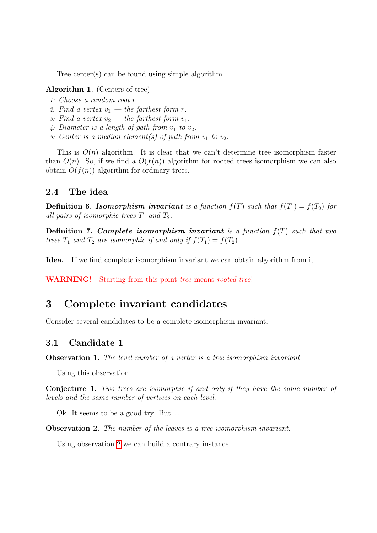Tree center(s) can be found using simple algorithm.

#### Algorithm 1. (Centers of tree)

- 1: Choose a random root r.
- 2: Find a vertex  $v_1$  the farthest form r.
- 3: Find a vertex  $v_2$  the farthest form  $v_1$ .
- 4: Diameter is a length of path from  $v_1$  to  $v_2$ .
- 5: Center is a median element(s) of path from  $v_1$  to  $v_2$ .

This is  $O(n)$  algorithm. It is clear that we can't determine tree isomorphism faster than  $O(n)$ . So, if we find a  $O(f(n))$  algorithm for rooted trees isomorphism we can also obtain  $O(f(n))$  algorithm for ordinary trees.

#### 2.4 The idea

**Definition 6. Isomorphism invariant** is a function  $f(T)$  such that  $f(T_1) = f(T_2)$  for all pairs of isomorphic trees  $T_1$  and  $T_2$ .

**Definition 7. Complete isomorphism invariant** is a function  $f(T)$  such that two trees  $T_1$  and  $T_2$  are isomorphic if and only if  $f(T_1) = f(T_2)$ .

Idea. If we find complete isomorphism invariant we can obtain algorithm from it.

WARNING! Starting from this point tree means rooted tree!

## 3 Complete invariant candidates

Consider several candidates to be a complete isomorphism invariant.

## 3.1 Candidate 1

Observation 1. The level number of a vertex is a tree isomorphism invariant.

Using this observation...

<span id="page-3-1"></span>Conjecture 1. Two trees are isomorphic if and only if they have the same number of levels and the same number of vertices on each level.

Ok. It seems to be a good try. But...

<span id="page-3-0"></span>Observation 2. The number of the leaves is a tree isomorphism invariant.

Using observation [2](#page-3-0) we can build a contrary instance.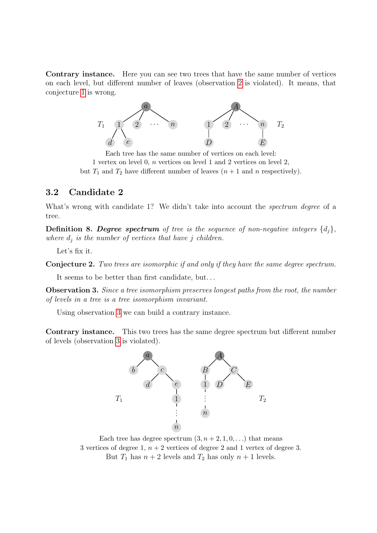Contrary instance. Here you can see two trees that have the same number of vertices on each level, but different number of leaves (observation [2](#page-3-0) is violated). It means, that conjecture [1](#page-3-1) is wrong.



Each tree has the same number of vertices on each level: 1 vertex on level 0, n vertices on level 1 and 2 vertices on level 2, but  $T_1$  and  $T_2$  have different number of leaves  $(n + 1$  and n respectively).

## 3.2 Candidate 2

What's wrong with candidate 1? We didn't take into account the *spectrum degree* of a tree.

**Definition 8. Degree spectrum** of tree is the sequence of non-negative integers  $\{d_i\}$ , where  $d_i$  is the number of vertices that have j children.

Let's fix it.

Conjecture 2. Two trees are isomorphic if and only if they have the same degree spectrum.

It seems to be better than first candidate, but. . .

<span id="page-4-0"></span>Observation 3. Since a tree isomorphism preserves longest paths from the root, the number of levels in a tree is a tree isomorphism invariant.

Using observation [3](#page-4-0) we can build a contrary instance.

Contrary instance. This two trees has the same degree spectrum but different number of levels (observation [3](#page-4-0) is violated).



Each tree has degree spectrum  $(3, n+2, 1, 0, ...)$  that means 3 vertices of degree 1,  $n + 2$  vertices of degree 2 and 1 vertex of degree 3. But  $T_1$  has  $n + 2$  levels and  $T_2$  has only  $n + 1$  levels.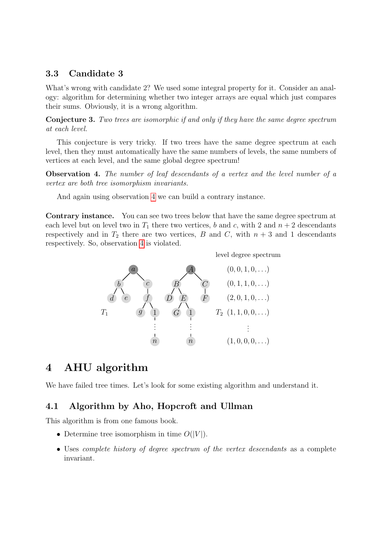## 3.3 Candidate 3

What's wrong with candidate 2? We used some integral property for it. Consider an analogy: algorithm for determining whether two integer arrays are equal which just compares their sums. Obviously, it is a wrong algorithm.

Conjecture 3. Two trees are isomorphic if and only if they have the same degree spectrum at each level.

This conjecture is very tricky. If two trees have the same degree spectrum at each level, then they must automatically have the same numbers of levels, the same numbers of vertices at each level, and the same global degree spectrum!

<span id="page-5-0"></span>Observation 4. The number of leaf descendants of a vertex and the level number of a vertex are both tree isomorphism invariants.

And again using observation [4](#page-5-0) we can build a contrary instance.

Contrary instance. You can see two trees below that have the same degree spectrum at each level but on level two in  $T_1$  there two vertices, b and c, with 2 and  $n + 2$  descendants respectively and in  $T_2$  there are two vertices, B and C, with  $n + 3$  and 1 descendants respectively. So, observation [4](#page-5-0) is violated.



## 4 AHU algorithm

We have failed tree times. Let's look for some existing algorithm and understand it.

## 4.1 Algorithm by Aho, Hopcroft and Ullman

This algorithm is from one famous book.

- Determine tree isomorphism in time  $O(|V|)$ .
- Uses *complete history of degree spectrum of the vertex descendants* as a complete invariant.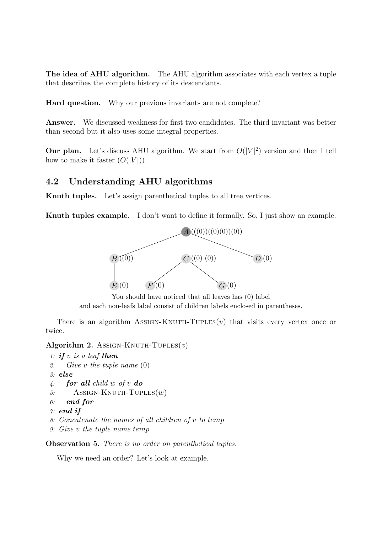The idea of AHU algorithm. The AHU algorithm associates with each vertex a tuple that describes the complete history of its descendants.

Hard question. Why our previous invariants are not complete?

Answer. We discussed weakness for first two candidates. The third invariant was better than second but it also uses some integral properties.

Our plan. Let's discuss AHU algorithm. We start from  $O(|V|^2)$  version and then I tell how to make it faster  $(O(|V|))$ .

## 4.2 Understanding AHU algorithms

Knuth tuples. Let's assign parenthetical tuples to all tree vertices.

Knuth tuples example. I don't want to define it formally. So, I just show an example.



You should have noticed that all leaves has (0) label and each non-leafs label consist of children labels enclosed in parentheses.

There is an algorithm Assign-Knuth-Tuples $(v)$  that visits every vertex once or twice.

Algorithm 2. Assign-KNUTH-TUPLES $(v)$ 

- 1: if  $v$  is a leaf then
- 2: Give v the tuple name (0)

```
3: else
```
4: for all child w of v do

```
5: ASSIGN-KNUTH-TUPLES(w)
```
6: end for

```
\gamma: end if
```
- 8: Concatenate the names of all children of v to temp
- 9: Give v the tuple name temp

Observation 5. There is no order on parenthetical tuples.

Why we need an order? Let's look at example.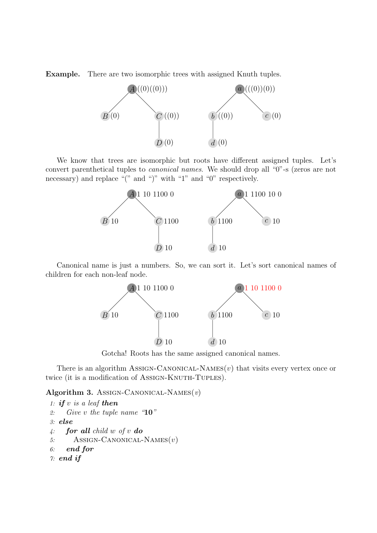Example. There are two isomorphic trees with assigned Knuth tuples.



We know that trees are isomorphic but roots have different assigned tuples. Let's convert parenthetical tuples to canonical names. We should drop all "0"-s (zeros are not necessary) and replace "(" and ")" with "1" and "0" respectively.



Canonical name is just a numbers. So, we can sort it. Let's sort canonical names of children for each non-leaf node.



Gotcha! Roots has the same assigned canonical names.

There is an algorithm ASSIGN-CANONICAL-NAMES $(v)$  that visits every vertex once or twice (it is a modification of Assign-KNUTH-TUPLES).

Algorithm 3. Assign-CANONICAL-NAMES $(v)$ 

```
1: if v is a leaf then
2: Give v the tuple name "10"
3: else
4: for all child w of v do
5: ASSIGN-CANONICAL-NAMES(v)6: end for
\gamma: end if
```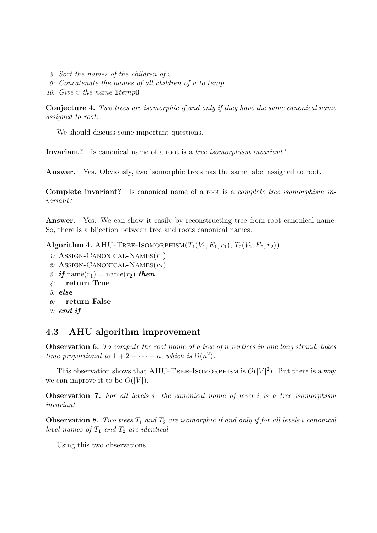- 8: Sort the names of the children of v
- 9: Concatenate the names of all children of v to temp
- 10: Give v the name 1temp0

Conjecture 4. Two trees are isomorphic if and only if they have the same canonical name assigned to root.

We should discuss some important questions.

Invariant? Is canonical name of a root is a tree isomorphism invariant?

Answer. Yes. Obviously, two isomorphic trees has the same label assigned to root.

Complete invariant? Is canonical name of a root is a complete tree isomorphism invariant?

Answer. Yes. We can show it easily by reconstructing tree from root canonical name. So, there is a bijection between tree and roots canonical names.

Algorithm 4. AHU-TREE-ISOMORPHISM $(T_1(V_1, E_1, r_1), T_2(V_2, E_2, r_2))$ 

- 1: ASSIGN-CANONICAL-NAMES $(r_1)$
- 2: ASSIGN-CANONICAL-NAMES $(r_2)$

```
3: if name(r_1) = name(r_2) then
```
- 4: return True
- 5: else
- 6: return False

```
\gamma: end if
```
## 4.3 AHU algorithm improvement

<span id="page-8-0"></span>Observation 6. To compute the root name of a tree of n vertices in one long strand, takes time proportional to  $1 + 2 + \cdots + n$ , which is  $\Omega(n^2)$ .

This observation shows that AHU-TREE-ISOMORPHISM is  $O(|V|^2)$ . But there is a way we can improve it to be  $O(|V|)$ .

**Observation 7.** For all levels i, the canonical name of level i is a tree isomorphism invariant.

**Observation 8.** Two trees  $T_1$  and  $T_2$  are isomorphic if and only if for all levels i canonical level names of  $T_1$  and  $T_2$  are identical.

Using this two observations...